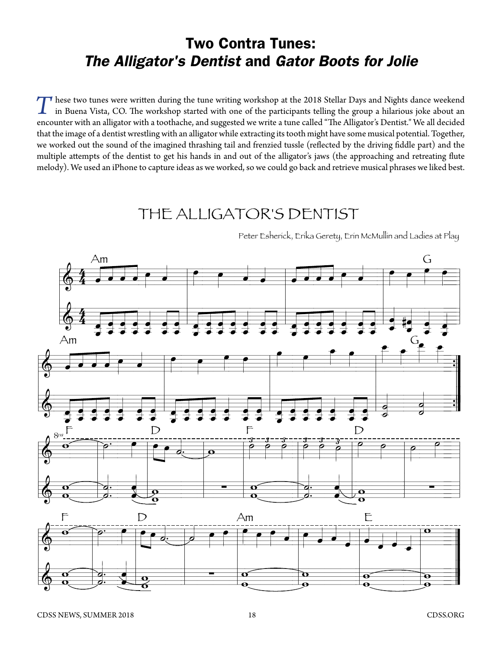## Two Contra Tunes: *The Alligator's Dentist* and *Gator Boots for Jolie*

These two tunes were written during the tune writing workshop at the 2018 Stellar Days and Nights dance weekend<br>in Buena Vista, CO. The workshop started with one of the participants telling the group a hilarious joke about encounter with an alligator with a toothache, and suggested we write a tune called "The Alligator's Dentist." We all decided that the image of a dentist wrestling with an alligator while extracting its tooth might have some musical potential. Together, we worked out the sound of the imagined thrashing tail and frenzied tussle (reflected by the driving fiddle part) and the multiple attempts of the dentist to get his hands in and out of the alligator's jaws (the approaching and retreating flute melody). We used an iPhone to capture ideas as we worked, so we could go back and retrieve musical phrases we liked best.

## THE ALLIGATOR'S DENTIST



Peter Esherick, Erika Gerety, Erin McMullin and Ladies at Play

˙«  $\bm{o}$   $\frac{1}{\cdot}$ «

 $\frac{6}{10}$ 

 $\mathbf{\overline{o}}$ 

 $\overline{\mathbf{e}}$  $\tilde{\mathbf{o}}$ 

 $\frac{6}{9}$  $\overline{\mathbf{c}}$ 

 $\overline{\mathbf{o}}$ 

<sup>w</sup> <sup>l</sup>

 $\frac{1}{\alpha}$   $\begin{array}{|c|c|c|c|}\n\hline\n\text{O} & \text{O} \\
\hline\n\text{O} & \text{O}\n\end{array}$